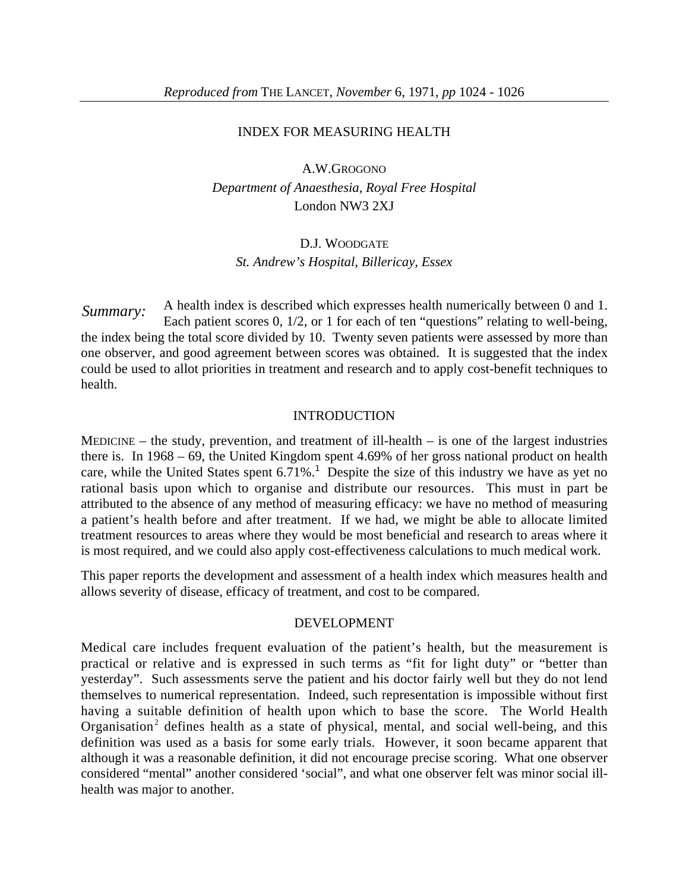### INDEX FOR MEASURING HEALTH

A.W.GROGONO *Department of Anaesthesia, Royal Free Hospital* London NW3 2XJ

# D.J. WOODGATE *St. Andrew's Hospital, Billericay, Essex*

A health index is described which expresses health numerically between 0 and 1. Each patient scores 0, 1/2, or 1 for each of ten "questions" relating to well-being, the index being the total score divided by 10. Twenty seven patients were assessed by more than one observer, and good agreement between scores was obtained. It is suggested that the index could be used to allot priorities in treatment and research and to apply cost-benefit techniques to health.  *Summary:*

## INTRODUCTION

MEDICINE – the study, prevention, and treatment of ill-health – is one of the largest industries there is. In 1968 – 69, the United Kingdom spent 4.69% of her gross national product on health care, while the United States spent  $6.71\%$ <sup>1</sup>. Despite the size of this industry we have as yet no rational basis upon which to organise and distribute our resources. This must in part be attributed to the absence of any method of measuring efficacy: we have no method of measuring a patient's health before and after treatment. If we had, we might be able to allocate limited treatment resources to areas where they would be most beneficial and research to areas where it is most required, and we could also apply cost-effectiveness calculations to much medical work.

This paper reports the development and assessment of a health index which measures health and allows severity of disease, efficacy of treatment, and cost to be compared.

#### DEVELOPMENT

Medical care includes frequent evaluation of the patient's health, but the measurement is practical or relative and is expressed in such terms as "fit for light duty" or "better than yesterday". Such assessments serve the patient and his doctor fairly well but they do not lend themselves to numerical representation. Indeed, such representation is impossible without first having a suitable definition of health upon which to base the score. The World Health Organisation<sup>2</sup> defines health as a state of physical, mental, and social well-being, and this definition was used as a basis for some early trials. However, it soon became apparent that although it was a reasonable definition, it did not encourage precise scoring. What one observer considered "mental" another considered 'social", and what one observer felt was minor social illhealth was major to another.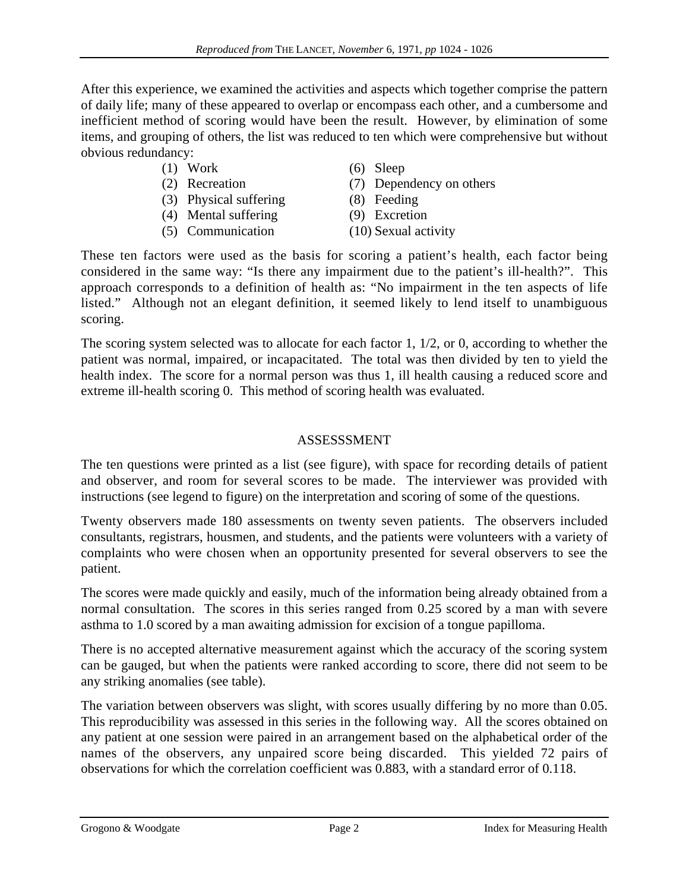After this experience, we examined the activities and aspects which together comprise the pattern of daily life; many of these appeared to overlap or encompass each other, and a cumbersome and inefficient method of scoring would have been the result. However, by elimination of some items, and grouping of others, the list was reduced to ten which were comprehensive but without obvious redundancy:

# (1) Work

- (2) Recreation
- (3) Physical suffering
- (4) Mental suffering
- (5) Communication
- (6) Sleep
- (7) Dependency on others
- (8) Feeding
- (9) Excretion
- (10) Sexual activity

These ten factors were used as the basis for scoring a patient's health, each factor being considered in the same way: "Is there any impairment due to the patient's ill-health?". This approach corresponds to a definition of health as: "No impairment in the ten aspects of life listed." Although not an elegant definition, it seemed likely to lend itself to unambiguous scoring.

The scoring system selected was to allocate for each factor 1, 1/2, or 0, according to whether the patient was normal, impaired, or incapacitated. The total was then divided by ten to yield the health index. The score for a normal person was thus 1, ill health causing a reduced score and extreme ill-health scoring 0. This method of scoring health was evaluated.

# ASSESSSMENT

The ten questions were printed as a list (see figure), with space for recording details of patient and observer, and room for several scores to be made. The interviewer was provided with instructions (see legend to figure) on the interpretation and scoring of some of the questions.

Twenty observers made 180 assessments on twenty seven patients. The observers included consultants, registrars, housmen, and students, and the patients were volunteers with a variety of complaints who were chosen when an opportunity presented for several observers to see the patient.

The scores were made quickly and easily, much of the information being already obtained from a normal consultation. The scores in this series ranged from 0.25 scored by a man with severe asthma to 1.0 scored by a man awaiting admission for excision of a tongue papilloma.

There is no accepted alternative measurement against which the accuracy of the scoring system can be gauged, but when the patients were ranked according to score, there did not seem to be any striking anomalies (see table).

The variation between observers was slight, with scores usually differing by no more than 0.05. This reproducibility was assessed in this series in the following way. All the scores obtained on any patient at one session were paired in an arrangement based on the alphabetical order of the names of the observers, any unpaired score being discarded. This yielded 72 pairs of observations for which the correlation coefficient was 0.883, with a standard error of 0.118.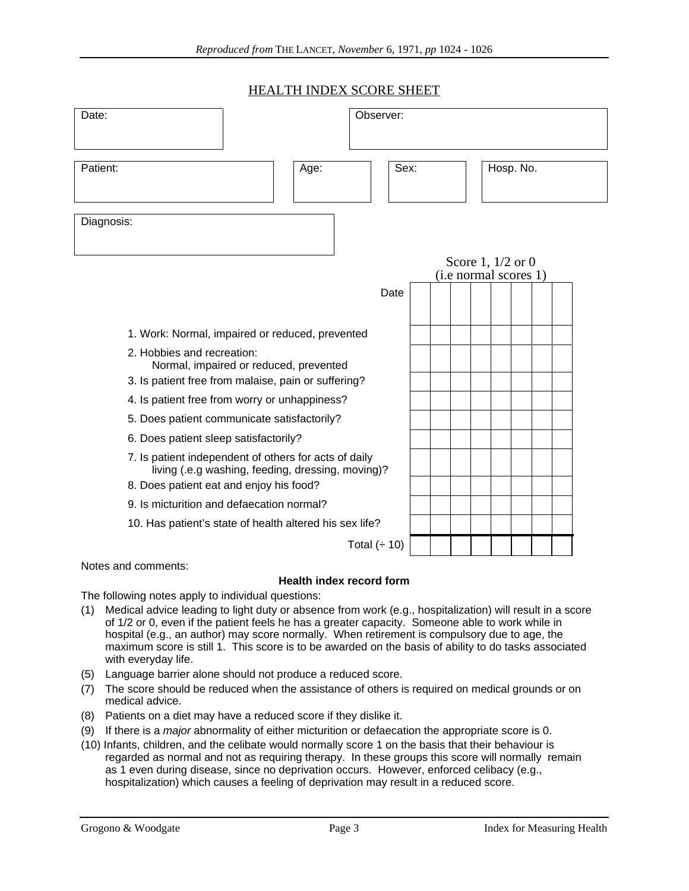## HEALTH INDEX SCORE SHEET

| Hosp. No.<br>Patient:<br>Sex:<br>Age:<br>Diagnosis:<br>Score 1, $1/2$ or 0<br>(i.e normal scores 1)<br>Date<br>1. Work: Normal, impaired or reduced, prevented | Date:<br>Observer: |  |
|----------------------------------------------------------------------------------------------------------------------------------------------------------------|--------------------|--|
|                                                                                                                                                                |                    |  |
|                                                                                                                                                                |                    |  |
|                                                                                                                                                                |                    |  |
|                                                                                                                                                                |                    |  |
|                                                                                                                                                                |                    |  |
|                                                                                                                                                                |                    |  |
| 2. Hobbies and recreation:<br>Normal, impaired or reduced, prevented                                                                                           |                    |  |
| 3. Is patient free from malaise, pain or suffering?                                                                                                            |                    |  |
| 4. Is patient free from worry or unhappiness?                                                                                                                  |                    |  |
| 5. Does patient communicate satisfactorily?                                                                                                                    |                    |  |
| 6. Does patient sleep satisfactorily?                                                                                                                          |                    |  |
| 7. Is patient independent of others for acts of daily<br>living (.e.g washing, feeding, dressing, moving)?                                                     |                    |  |
| 8. Does patient eat and enjoy his food?                                                                                                                        |                    |  |
| 9. Is micturition and defaecation normal?                                                                                                                      |                    |  |
| 10. Has patient's state of health altered his sex life?                                                                                                        |                    |  |
| Total $($ $\div$ 10)                                                                                                                                           |                    |  |

Notes and comments:

## **Health index record form**

The following notes apply to individual questions:

- (1) Medical advice leading to light duty or absence from work (e.g., hospitalization) will result in a score of 1/2 or 0, even if the patient feels he has a greater capacity. Someone able to work while in hospital (e.g., an author) may score normally. When retirement is compulsory due to age, the maximum score is still 1. This score is to be awarded on the basis of ability to do tasks associated with everyday life.
- (5) Language barrier alone should not produce a reduced score.
- (7) The score should be reduced when the assistance of others is required on medical grounds or on medical advice.
- (8) Patients on a diet may have a reduced score if they dislike it.
- (9) If there is a major abnormality of either micturition or defaecation the appropriate score is 0.
- (10) Infants, children, and the celibate would normally score 1 on the basis that their behaviour is regarded as normal and not as requiring therapy. In these groups this score will normally remain as 1 even during disease, since no deprivation occurs. However, enforced celibacy (e.g., hospitalization) which causes a feeling of deprivation may result in a reduced score.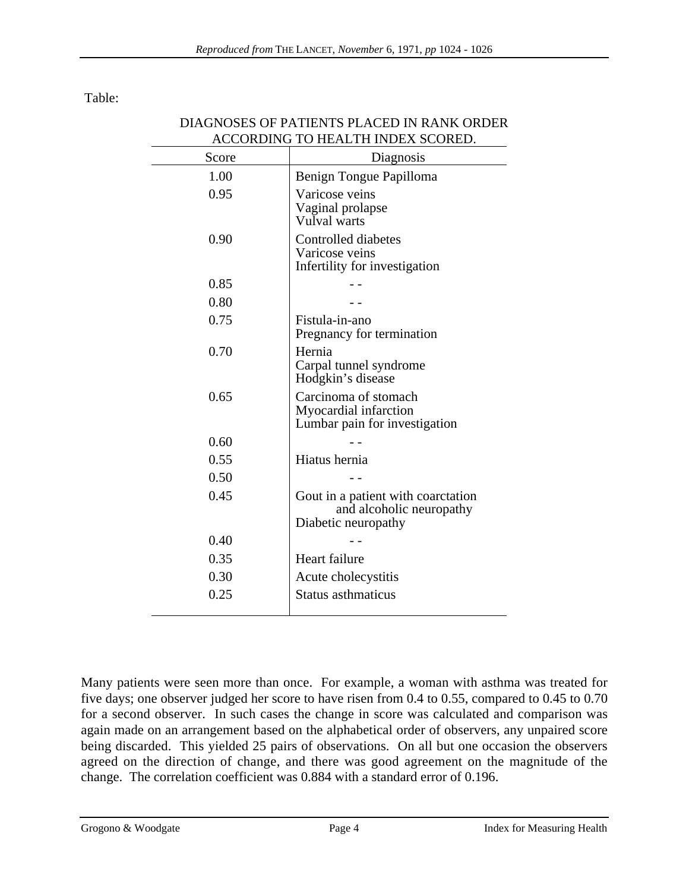Table:

| ACCORDING TO HEALTH INDEX SCORED. |                                                                                       |
|-----------------------------------|---------------------------------------------------------------------------------------|
| Score                             | Diagnosis                                                                             |
| 1.00                              | Benign Tongue Papilloma                                                               |
| 0.95                              | Varicose veins<br>Vaginal prolapse<br>Vulval warts                                    |
| 0.90                              | Controlled diabetes<br>Varicose veins<br>Infertility for investigation                |
| 0.85                              |                                                                                       |
| 0.80                              |                                                                                       |
| 0.75                              | Fistula-in-ano<br>Pregnancy for termination                                           |
| 0.70                              | Hernia<br>Carpal tunnel syndrome<br>Hodgkin's disease                                 |
| 0.65                              | Carcinoma of stomach<br>Myocardial infarction<br>Lumbar pain for investigation        |
| 0.60                              |                                                                                       |
| 0.55                              | Hiatus hernia                                                                         |
| 0.50                              |                                                                                       |
| 0.45                              | Gout in a patient with coarctation<br>and alcoholic neuropathy<br>Diabetic neuropathy |
| 0.40                              |                                                                                       |
| 0.35                              | Heart failure                                                                         |
| 0.30                              | Acute cholecystitis                                                                   |
| 0.25                              | <b>Status asthmaticus</b>                                                             |

## DIAGNOSES OF PATIENTS PLACED IN RANK ORDER ACCORDING TO HEALTH INDEX SCORED.

Many patients were seen more than once. For example, a woman with asthma was treated for five days; one observer judged her score to have risen from 0.4 to 0.55, compared to 0.45 to 0.70 for a second observer. In such cases the change in score was calculated and comparison was again made on an arrangement based on the alphabetical order of observers, any unpaired score being discarded. This yielded 25 pairs of observations. On all but one occasion the observers agreed on the direction of change, and there was good agreement on the magnitude of the change. The correlation coefficient was 0.884 with a standard error of 0.196.